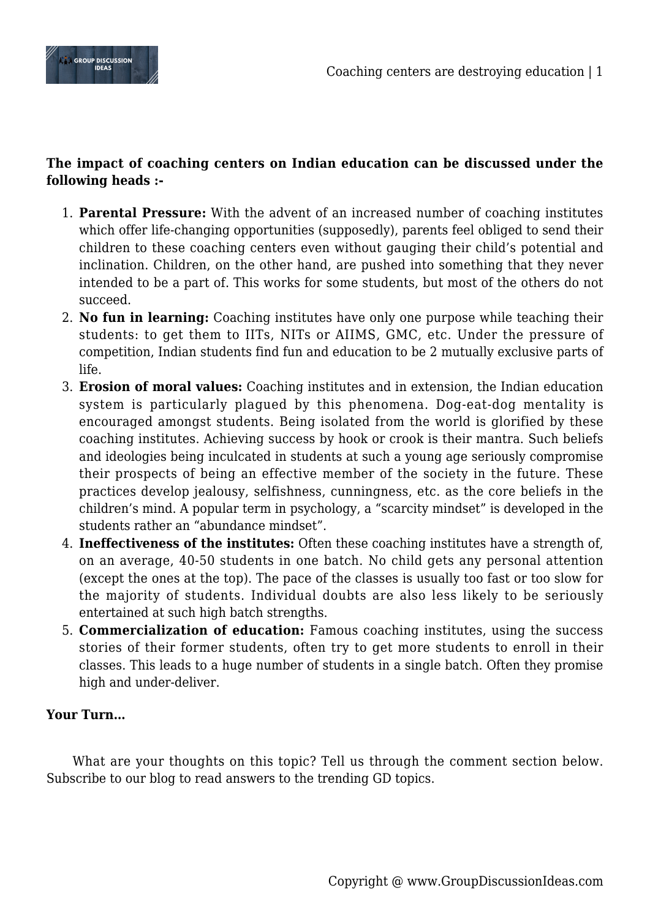

## **The impact of coaching centers on Indian education can be discussed under the following heads :-**

- 1. **Parental Pressure:** With the advent of an increased number of coaching institutes which offer life-changing opportunities (supposedly), parents feel obliged to send their children to these coaching centers even without gauging their child's potential and inclination. Children, on the other hand, are pushed into something that they never intended to be a part of. This works for some students, but most of the others do not succeed.
- 2. **No fun in learning:** Coaching institutes have only one purpose while teaching their students: to get them to IITs, NITs or AIIMS, GMC, etc. Under the pressure of competition, Indian students find fun and education to be 2 mutually exclusive parts of life.
- 3. **Erosion of moral values:** Coaching institutes and in extension, the Indian education system is particularly plagued by this phenomena. Dog-eat-dog mentality is encouraged amongst students. Being isolated from the world is glorified by these coaching institutes. Achieving success by hook or crook is their mantra. Such beliefs and ideologies being inculcated in students at such a young age seriously compromise their prospects of being an effective member of the society in the future. These practices develop jealousy, selfishness, cunningness, etc. as the core beliefs in the children's mind. A popular term in psychology, a "scarcity mindset" is developed in the students rather an "abundance mindset".
- 4. **Ineffectiveness of the institutes:** Often these coaching institutes have a strength of, on an average, 40-50 students in one batch. No child gets any personal attention (except the ones at the top). The pace of the classes is usually too fast or too slow for the majority of students. Individual doubts are also less likely to be seriously entertained at such high batch strengths.
- 5. **Commercialization of education:** Famous coaching institutes, using the success stories of their former students, often try to get more students to enroll in their classes. This leads to a huge number of students in a single batch. Often they promise high and under-deliver.

## **Your Turn…**

What are your thoughts on this topic? Tell us through the comment section below. Subscribe to our blog to read answers to the trending GD topics.